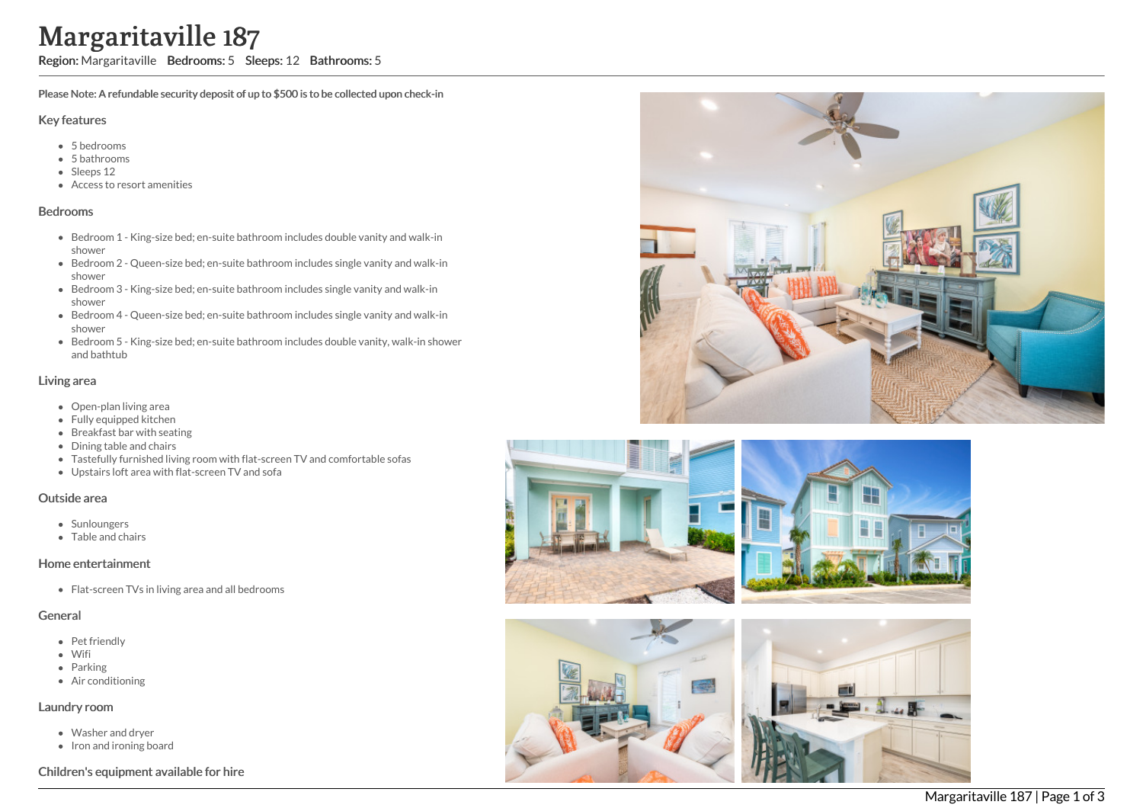# Margaritaville 187

Region: Margaritaville Bedrooms: 5 Sleeps: 12 Bathrooms: 5

Please Note: A refundable security deposit of up to \$500 is to be collected upon check-in

#### Key features

- 5 bedrooms
- 5 bathrooms
- Sleeps 12
- Access to resort amenities

#### Bedrooms

- Bedroom 1 King-size bed; en-suite bathroom includes double vanity and walk-in shower
- Bedroom 2 Queen-size bed; en-suite bathroom includes single vanity and walk-in shower
- Bedroom 3 King-size bed; en-suite bathroom includes single vanity and walk-in shower
- Bedroom 4 Queen-size bed; en-suite bathroom includes single vanity and walk-in shower
- Bedroom 5 King-size bed; en-suite bathroom includes double vanity, walk-in shower and bathtub

### Living area

- Open-plan living area
- Fully equipped kitchen
- Breakfast bar with seating
- Dining table and chairs
- Tastefully furnished living room with flat-screen TV and comfortable sofas
- Upstairs loft area with flat-screen TV and sofa

#### Outside area

- Sunloungers
- Table and chairs

#### Home entertainment

• Flat-screen TVs in living area and all bedrooms

#### General

- Pet friendly
- Wifi
- Parking
- Air conditioning

#### Laundry room

- Washer and dryer
- Iron and ironing board

## Children's equipment available for hire





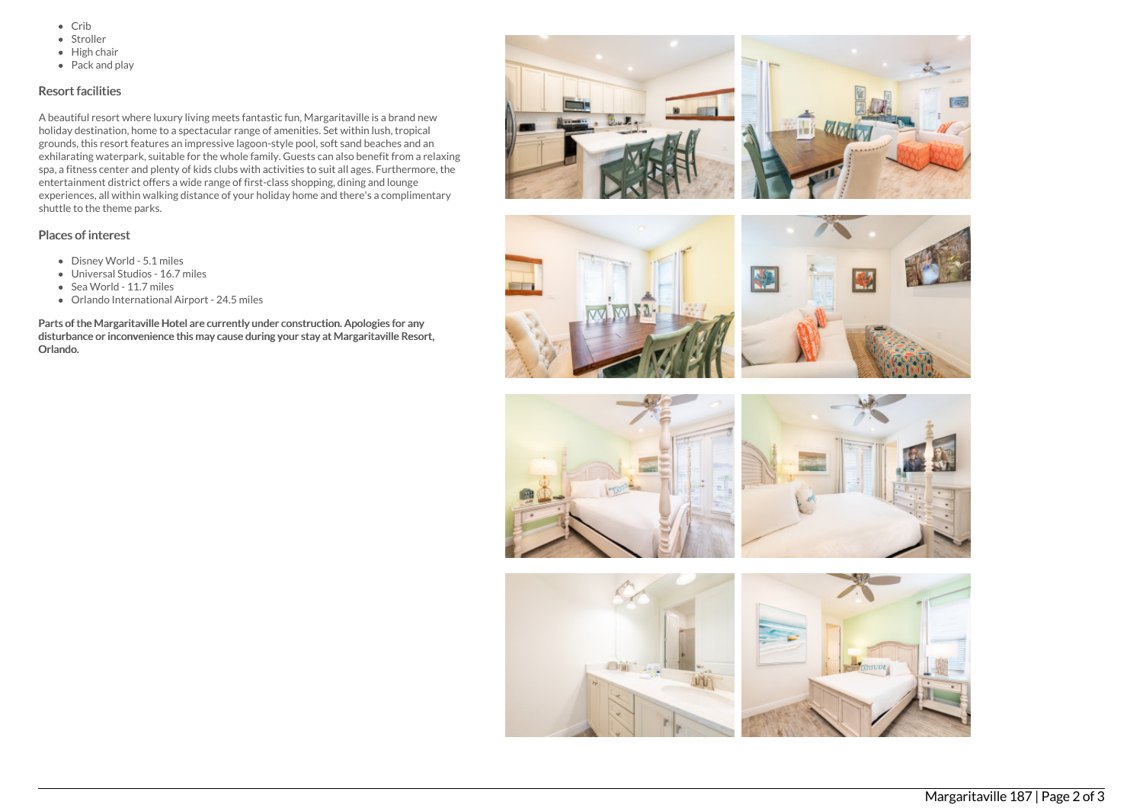- $\bullet$  Crib
- Stroller
- $\bullet$  High chair
- Pack and play

# Resort facilities

A beautiful resort where luxury living meets fantastic fun, Margaritaville is a brand new holiday destination, home to a spectacular range of amenities. Set within lush, tropical grounds, this resort features an impressive lagoon-style pool, soft sand beaches and an exhilarating waterpark, suitable for the whole family. Guests can also benefit from a relaxing spa, a fitness center and plenty of kids clubs with activities to suit all ages. Furthermore, the entertainment district offers a wide range of first-class shopping, dining and lounge experiences, all within walking distance of your holiday home and there's a complimentary shuttle to the theme parks.

# Places of interest

- Disney World 5.1 miles
- Universal Studios 16.7 miles
- Sea World 11.7 miles
- Orlando International Airport 24.5 miles

Parts of the Margaritaville Hotel are currently under construction. Apologies for any disturbance or inconvenience this may cause during your stay at Margaritaville Resort, Orlando.